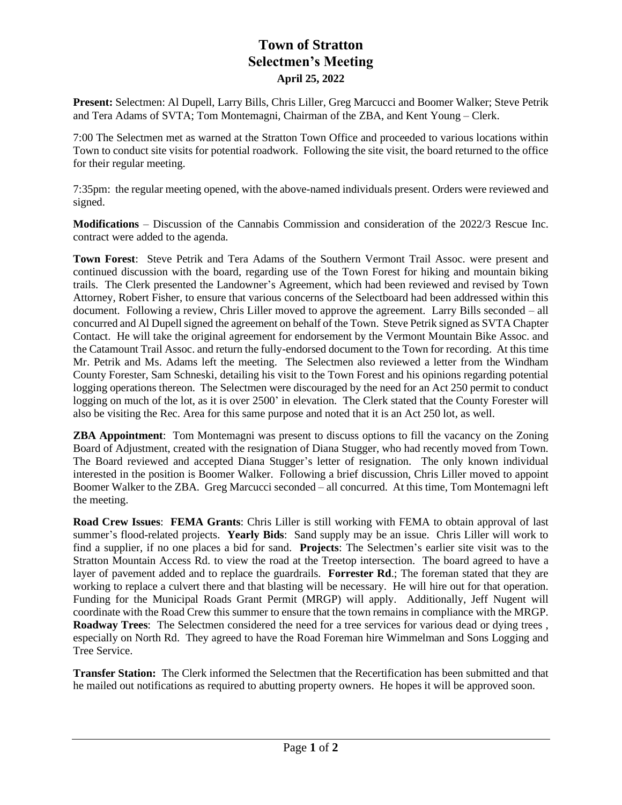## **Town of Stratton Selectmen's Meeting April 25, 2022**

**Present:** Selectmen: Al Dupell, Larry Bills, Chris Liller, Greg Marcucci and Boomer Walker; Steve Petrik and Tera Adams of SVTA; Tom Montemagni, Chairman of the ZBA, and Kent Young – Clerk.

7:00 The Selectmen met as warned at the Stratton Town Office and proceeded to various locations within Town to conduct site visits for potential roadwork. Following the site visit, the board returned to the office for their regular meeting.

7:35pm: the regular meeting opened, with the above-named individuals present. Orders were reviewed and signed.

**Modifications** – Discussion of the Cannabis Commission and consideration of the 2022/3 Rescue Inc. contract were added to the agenda.

**Town Forest**: Steve Petrik and Tera Adams of the Southern Vermont Trail Assoc. were present and continued discussion with the board, regarding use of the Town Forest for hiking and mountain biking trails. The Clerk presented the Landowner's Agreement, which had been reviewed and revised by Town Attorney, Robert Fisher, to ensure that various concerns of the Selectboard had been addressed within this document. Following a review, Chris Liller moved to approve the agreement. Larry Bills seconded – all concurred and Al Dupell signed the agreement on behalf of the Town. Steve Petrik signed as SVTA Chapter Contact. He will take the original agreement for endorsement by the Vermont Mountain Bike Assoc. and the Catamount Trail Assoc. and return the fully-endorsed document to the Town for recording. At this time Mr. Petrik and Ms. Adams left the meeting. The Selectmen also reviewed a letter from the Windham County Forester, Sam Schneski, detailing his visit to the Town Forest and his opinions regarding potential logging operations thereon. The Selectmen were discouraged by the need for an Act 250 permit to conduct logging on much of the lot, as it is over 2500' in elevation. The Clerk stated that the County Forester will also be visiting the Rec. Area for this same purpose and noted that it is an Act 250 lot, as well.

**ZBA Appointment**: Tom Montemagni was present to discuss options to fill the vacancy on the Zoning Board of Adjustment, created with the resignation of Diana Stugger, who had recently moved from Town. The Board reviewed and accepted Diana Stugger's letter of resignation. The only known individual interested in the position is Boomer Walker. Following a brief discussion, Chris Liller moved to appoint Boomer Walker to the ZBA. Greg Marcucci seconded – all concurred. At this time, Tom Montemagni left the meeting.

**Road Crew Issues**: **FEMA Grants**: Chris Liller is still working with FEMA to obtain approval of last summer's flood-related projects. **Yearly Bids**: Sand supply may be an issue. Chris Liller will work to find a supplier, if no one places a bid for sand. **Projects**: The Selectmen's earlier site visit was to the Stratton Mountain Access Rd. to view the road at the Treetop intersection. The board agreed to have a layer of pavement added and to replace the guardrails. **Forrester Rd**.; The foreman stated that they are working to replace a culvert there and that blasting will be necessary. He will hire out for that operation. Funding for the Municipal Roads Grant Permit (MRGP) will apply. Additionally, Jeff Nugent will coordinate with the Road Crew this summer to ensure that the town remains in compliance with the MRGP. **Roadway Trees**: The Selectmen considered the need for a tree services for various dead or dying trees , especially on North Rd. They agreed to have the Road Foreman hire Wimmelman and Sons Logging and Tree Service.

**Transfer Station:** The Clerk informed the Selectmen that the Recertification has been submitted and that he mailed out notifications as required to abutting property owners. He hopes it will be approved soon.